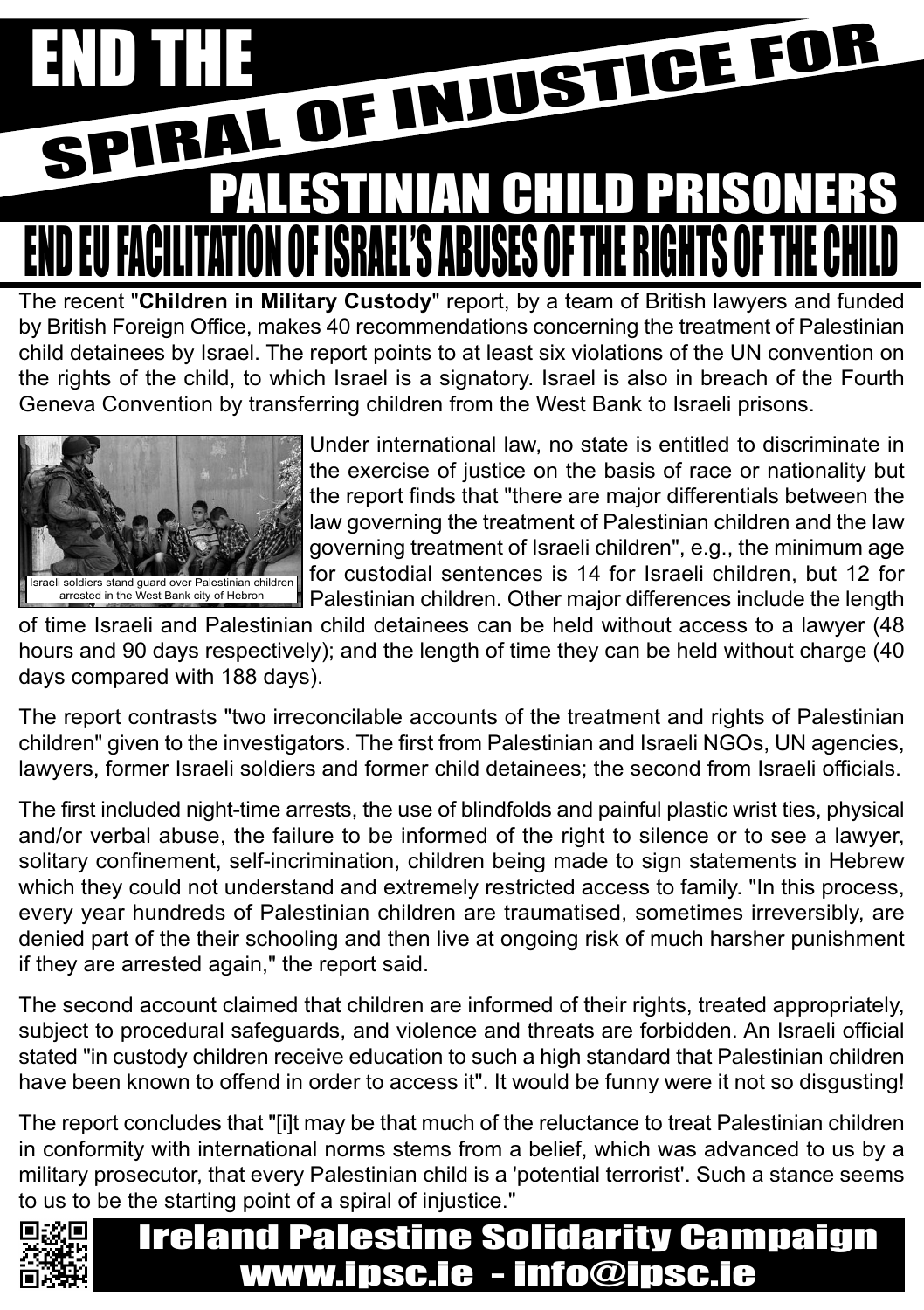# END THE OFINJUSTICE FOR I EU FACILITATION OF ISRAEL'S ABUSES OF THE R PALESTINIAN CHILD PRISON

The recent "**Children in Military Custody**" report, by a team of British lawyers and funded by British Foreign Office, makes 40 recommendations concerning the treatment of Palestinian child detainees by Israel. The report points to at least six violations of the UN convention on the rights of the child, to which Israel is a signatory. Israel is also in breach of the Fourth Geneva Convention by transferring children from the West Bank to Israeli prisons.



Under international law, no state is entitled to discriminate in the exercise of justice on the basis of race or nationality but the report finds that "there are major differentials between the law governing the treatment of Palestinian children and the law governing treatment of Israeli children", e.g., the minimum age for custodial sentences is 14 for Israeli children, but 12 for Palestinian children. Other major differences include the length

of time Israeli and Palestinian child detainees can be held without access to a lawyer (48 hours and 90 days respectively); and the length of time they can be held without charge (40 days compared with 188 days).

The report contrasts "two irreconcilable accounts of the treatment and rights of Palestinian children" given to the investigators. The first from Palestinian and Israeli NGOs, UN agencies, lawyers, former Israeli soldiers and former child detainees; the second from Israeli officials.

The first included night-time arrests, the use of blindfolds and painful plastic wrist ties, physical and/or verbal abuse, the failure to be informed of the right to silence or to see a lawyer, solitary confinement, self-incrimination, children being made to sign statements in Hebrew which they could not understand and extremely restricted access to family. "In this process, every year hundreds of Palestinian children are traumatised, sometimes irreversibly, are denied part of the their schooling and then live at ongoing risk of much harsher punishment if they are arrested again," the report said.

The second account claimed that children are informed of their rights, treated appropriately, subject to procedural safeguards, and violence and threats are forbidden. An Israeli official stated "in custody children receive education to such a high standard that Palestinian children have been known to offend in order to access it". It would be funny were it not so disgusting!

The report concludes that "[i]t may be that much of the reluctance to treat Palestinian children in conformity with international norms stems from a belief, which was advanced to us by a military prosecutor, that every Palestinian child is a 'potential terrorist'. Such a stance seems to us to be the starting point of a spiral of injustice."



### Ireland Palestine Solidarity Campaign www.ipsc.ie - info@ipsc.ie